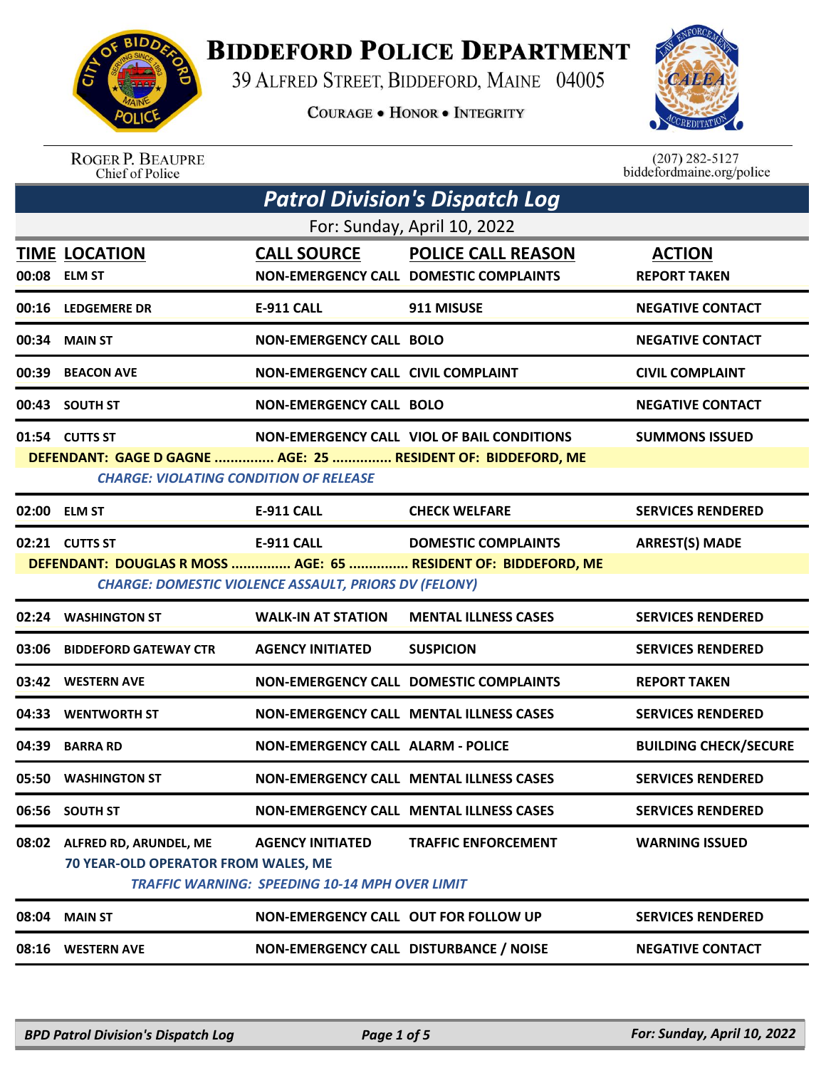

## **BIDDEFORD POLICE DEPARTMENT**

39 ALFRED STREET, BIDDEFORD, MAINE 04005

**COURAGE . HONOR . INTEGRITY** 



ROGER P. BEAUPRE<br>Chief of Police

 $(207)$  282-5127<br>biddefordmaine.org/police

| <b>Patrol Division's Dispatch Log</b> |                                                                                                                                                                                                        |                                                                                   |                                                                                              |                                      |  |  |
|---------------------------------------|--------------------------------------------------------------------------------------------------------------------------------------------------------------------------------------------------------|-----------------------------------------------------------------------------------|----------------------------------------------------------------------------------------------|--------------------------------------|--|--|
| For: Sunday, April 10, 2022           |                                                                                                                                                                                                        |                                                                                   |                                                                                              |                                      |  |  |
|                                       | <b>TIME LOCATION</b><br>00:08 ELM ST                                                                                                                                                                   | <b>CALL SOURCE</b>                                                                | <b>POLICE CALL REASON</b><br>NON-EMERGENCY CALL DOMESTIC COMPLAINTS                          | <b>ACTION</b><br><b>REPORT TAKEN</b> |  |  |
|                                       | 00:16 LEDGEMERE DR                                                                                                                                                                                     | <b>E-911 CALL</b>                                                                 | 911 MISUSE                                                                                   | <b>NEGATIVE CONTACT</b>              |  |  |
| 00:34                                 | <b>MAIN ST</b>                                                                                                                                                                                         | NON-EMERGENCY CALL BOLO                                                           |                                                                                              | <b>NEGATIVE CONTACT</b>              |  |  |
| 00:39                                 | <b>BEACON AVE</b>                                                                                                                                                                                      | NON-EMERGENCY CALL CIVIL COMPLAINT                                                |                                                                                              | <b>CIVIL COMPLAINT</b>               |  |  |
|                                       | 00:43 SOUTH ST                                                                                                                                                                                         | <b>NON-EMERGENCY CALL BOLO</b>                                                    |                                                                                              | <b>NEGATIVE CONTACT</b>              |  |  |
|                                       | 01:54 CUTTS ST<br>NON-EMERGENCY CALL VIOL OF BAIL CONDITIONS<br><b>SUMMONS ISSUED</b><br>DEFENDANT: GAGE D GAGNE  AGE: 25  RESIDENT OF: BIDDEFORD, ME<br><b>CHARGE: VIOLATING CONDITION OF RELEASE</b> |                                                                                   |                                                                                              |                                      |  |  |
|                                       | 02:00 ELM ST                                                                                                                                                                                           | <b>E-911 CALL</b>                                                                 | <b>CHECK WELFARE</b>                                                                         | <b>SERVICES RENDERED</b>             |  |  |
|                                       | 02:21 CUTTS ST                                                                                                                                                                                         | <b>E-911 CALL</b><br><b>CHARGE: DOMESTIC VIOLENCE ASSAULT, PRIORS DV (FELONY)</b> | <b>DOMESTIC COMPLAINTS</b><br>DEFENDANT: DOUGLAS R MOSS  AGE: 65  RESIDENT OF: BIDDEFORD, ME | <b>ARREST(S) MADE</b>                |  |  |
|                                       | 02:24 WASHINGTON ST                                                                                                                                                                                    | <b>WALK-IN AT STATION</b>                                                         | <b>MENTAL ILLNESS CASES</b>                                                                  | <b>SERVICES RENDERED</b>             |  |  |
|                                       | 03:06 BIDDEFORD GATEWAY CTR                                                                                                                                                                            | <b>AGENCY INITIATED</b>                                                           | <b>SUSPICION</b>                                                                             | <b>SERVICES RENDERED</b>             |  |  |
|                                       | 03:42 WESTERN AVE                                                                                                                                                                                      |                                                                                   | NON-EMERGENCY CALL DOMESTIC COMPLAINTS                                                       | <b>REPORT TAKEN</b>                  |  |  |
|                                       | 04:33 WENTWORTH ST                                                                                                                                                                                     |                                                                                   | <b>NON-EMERGENCY CALL MENTAL ILLNESS CASES</b>                                               | <b>SERVICES RENDERED</b>             |  |  |
|                                       | 04:39 BARRA RD                                                                                                                                                                                         | <b>NON-EMERGENCY CALL ALARM - POLICE</b>                                          |                                                                                              | <b>BUILDING CHECK/SECURE</b>         |  |  |
|                                       | 05:50 WASHINGTON ST                                                                                                                                                                                    |                                                                                   | <b>NON-EMERGENCY CALL MENTAL ILLNESS CASES</b>                                               | <b>SERVICES RENDERED</b>             |  |  |
|                                       | 06:56 SOUTH ST                                                                                                                                                                                         |                                                                                   | NON-EMERGENCY CALL MENTAL ILLNESS CASES                                                      | <b>SERVICES RENDERED</b>             |  |  |
|                                       | 08:02 ALFRED RD, ARUNDEL, ME<br>70 YEAR-OLD OPERATOR FROM WALES, ME                                                                                                                                    | <b>AGENCY INITIATED</b><br><b>TRAFFIC WARNING: SPEEDING 10-14 MPH OVER LIMIT</b>  | <b>TRAFFIC ENFORCEMENT</b>                                                                   | <b>WARNING ISSUED</b>                |  |  |
| 08:04                                 | <b>MAIN ST</b>                                                                                                                                                                                         | NON-EMERGENCY CALL OUT FOR FOLLOW UP                                              |                                                                                              | <b>SERVICES RENDERED</b>             |  |  |
|                                       | 08:16 WESTERN AVE                                                                                                                                                                                      | NON-EMERGENCY CALL DISTURBANCE / NOISE                                            |                                                                                              | <b>NEGATIVE CONTACT</b>              |  |  |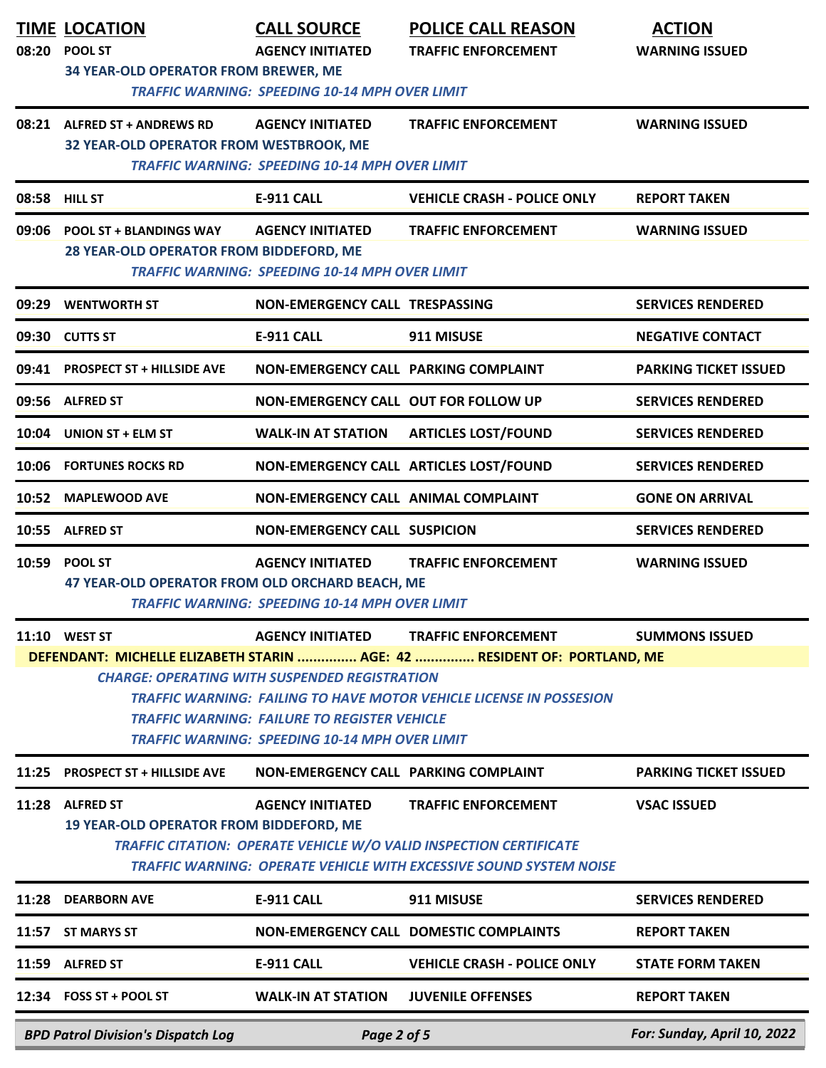| 08:20 | <b>TIME LOCATION</b><br><b>POOL ST</b><br><b>34 YEAR-OLD OPERATOR FROM BREWER, ME</b> | <b>CALL SOURCE</b><br><b>AGENCY INITIATED</b><br><b>TRAFFIC WARNING: SPEEDING 10-14 MPH OVER LIMIT</b>                                                        | <b>POLICE CALL REASON</b><br><b>TRAFFIC ENFORCEMENT</b>                                                                                                                              | <b>ACTION</b><br><b>WARNING ISSUED</b> |
|-------|---------------------------------------------------------------------------------------|---------------------------------------------------------------------------------------------------------------------------------------------------------------|--------------------------------------------------------------------------------------------------------------------------------------------------------------------------------------|----------------------------------------|
|       | 08:21 ALFRED ST + ANDREWS RD<br>32 YEAR-OLD OPERATOR FROM WESTBROOK, ME               | <b>AGENCY INITIATED</b><br><b>TRAFFIC WARNING: SPEEDING 10-14 MPH OVER LIMIT</b>                                                                              | <b>TRAFFIC ENFORCEMENT</b>                                                                                                                                                           | <b>WARNING ISSUED</b>                  |
|       | 08:58 HILL ST                                                                         | <b>E-911 CALL</b>                                                                                                                                             | <b>VEHICLE CRASH - POLICE ONLY</b>                                                                                                                                                   | <b>REPORT TAKEN</b>                    |
|       | 09:06 POOL ST + BLANDINGS WAY<br>28 YEAR-OLD OPERATOR FROM BIDDEFORD, ME              | <b>AGENCY INITIATED</b><br><b>TRAFFIC WARNING: SPEEDING 10-14 MPH OVER LIMIT</b>                                                                              | <b>TRAFFIC ENFORCEMENT</b>                                                                                                                                                           | <b>WARNING ISSUED</b>                  |
| 09:29 | <b>WENTWORTH ST</b>                                                                   | NON-EMERGENCY CALL TRESPASSING                                                                                                                                |                                                                                                                                                                                      | <b>SERVICES RENDERED</b>               |
| 09:30 | <b>CUTTS ST</b>                                                                       | <b>E-911 CALL</b>                                                                                                                                             | 911 MISUSE                                                                                                                                                                           | <b>NEGATIVE CONTACT</b>                |
|       | 09:41 PROSPECT ST + HILLSIDE AVE                                                      | NON-EMERGENCY CALL PARKING COMPLAINT                                                                                                                          |                                                                                                                                                                                      | <b>PARKING TICKET ISSUED</b>           |
|       | 09:56 ALFRED ST                                                                       | <b>NON-EMERGENCY CALL OUT FOR FOLLOW UP</b>                                                                                                                   |                                                                                                                                                                                      | <b>SERVICES RENDERED</b>               |
| 10:04 | <b>UNION ST + ELM ST</b>                                                              | <b>WALK-IN AT STATION</b>                                                                                                                                     | <b>ARTICLES LOST/FOUND</b>                                                                                                                                                           | <b>SERVICES RENDERED</b>               |
| 10:06 | <b>FORTUNES ROCKS RD</b>                                                              | NON-EMERGENCY CALL ARTICLES LOST/FOUND                                                                                                                        |                                                                                                                                                                                      | <b>SERVICES RENDERED</b>               |
| 10:52 | <b>MAPLEWOOD AVE</b>                                                                  | NON-EMERGENCY CALL ANIMAL COMPLAINT                                                                                                                           |                                                                                                                                                                                      | <b>GONE ON ARRIVAL</b>                 |
| 10:55 | <b>ALFRED ST</b>                                                                      | <b>NON-EMERGENCY CALL SUSPICION</b>                                                                                                                           |                                                                                                                                                                                      | <b>SERVICES RENDERED</b>               |
| 10:59 | <b>POOL ST</b><br>47 YEAR-OLD OPERATOR FROM OLD ORCHARD BEACH, ME                     | <b>AGENCY INITIATED</b><br><b>TRAFFIC WARNING: SPEEDING 10-14 MPH OVER LIMIT</b>                                                                              | <b>TRAFFIC ENFORCEMENT</b>                                                                                                                                                           | <b>WARNING ISSUED</b>                  |
|       | 11:10 WEST ST                                                                         | <b>AGENCY INITIATED</b>                                                                                                                                       | <b>TRAFFIC ENFORCEMENT</b>                                                                                                                                                           | <b>SUMMONS ISSUED</b>                  |
|       |                                                                                       | <b>CHARGE: OPERATING WITH SUSPENDED REGISTRATION</b><br><b>TRAFFIC WARNING: FAILURE TO REGISTER VEHICLE</b><br>TRAFFIC WARNING: SPEEDING 10-14 MPH OVER LIMIT | DEFENDANT: MICHELLE ELIZABETH STARIN  AGE: 42  RESIDENT OF: PORTLAND, ME<br><b>TRAFFIC WARNING: FAILING TO HAVE MOTOR VEHICLE LICENSE IN POSSESION</b>                               |                                        |
| 11:25 | <b>PROSPECT ST + HILLSIDE AVE</b>                                                     | NON-EMERGENCY CALL PARKING COMPLAINT                                                                                                                          |                                                                                                                                                                                      | <b>PARKING TICKET ISSUED</b>           |
| 11:28 | <b>ALFRED ST</b><br><b>19 YEAR-OLD OPERATOR FROM BIDDEFORD, ME</b>                    | <b>AGENCY INITIATED</b>                                                                                                                                       | <b>TRAFFIC ENFORCEMENT</b><br><b>TRAFFIC CITATION: OPERATE VEHICLE W/O VALID INSPECTION CERTIFICATE</b><br><b>TRAFFIC WARNING: OPERATE VEHICLE WITH EXCESSIVE SOUND SYSTEM NOISE</b> | <b>VSAC ISSUED</b>                     |
| 11:28 | <b>DEARBORN AVE</b>                                                                   | <b>E-911 CALL</b>                                                                                                                                             | 911 MISUSE                                                                                                                                                                           | <b>SERVICES RENDERED</b>               |
|       | 11:57 ST MARYS ST                                                                     |                                                                                                                                                               | <b>NON-EMERGENCY CALL DOMESTIC COMPLAINTS</b>                                                                                                                                        | <b>REPORT TAKEN</b>                    |
|       | 11:59 ALFRED ST                                                                       | <b>E-911 CALL</b>                                                                                                                                             | <b>VEHICLE CRASH - POLICE ONLY</b>                                                                                                                                                   | <b>STATE FORM TAKEN</b>                |
|       |                                                                                       |                                                                                                                                                               | <b>JUVENILE OFFENSES</b>                                                                                                                                                             | <b>REPORT TAKEN</b>                    |
|       | 12:34 FOSS ST + POOL ST                                                               | <b>WALK-IN AT STATION</b>                                                                                                                                     |                                                                                                                                                                                      |                                        |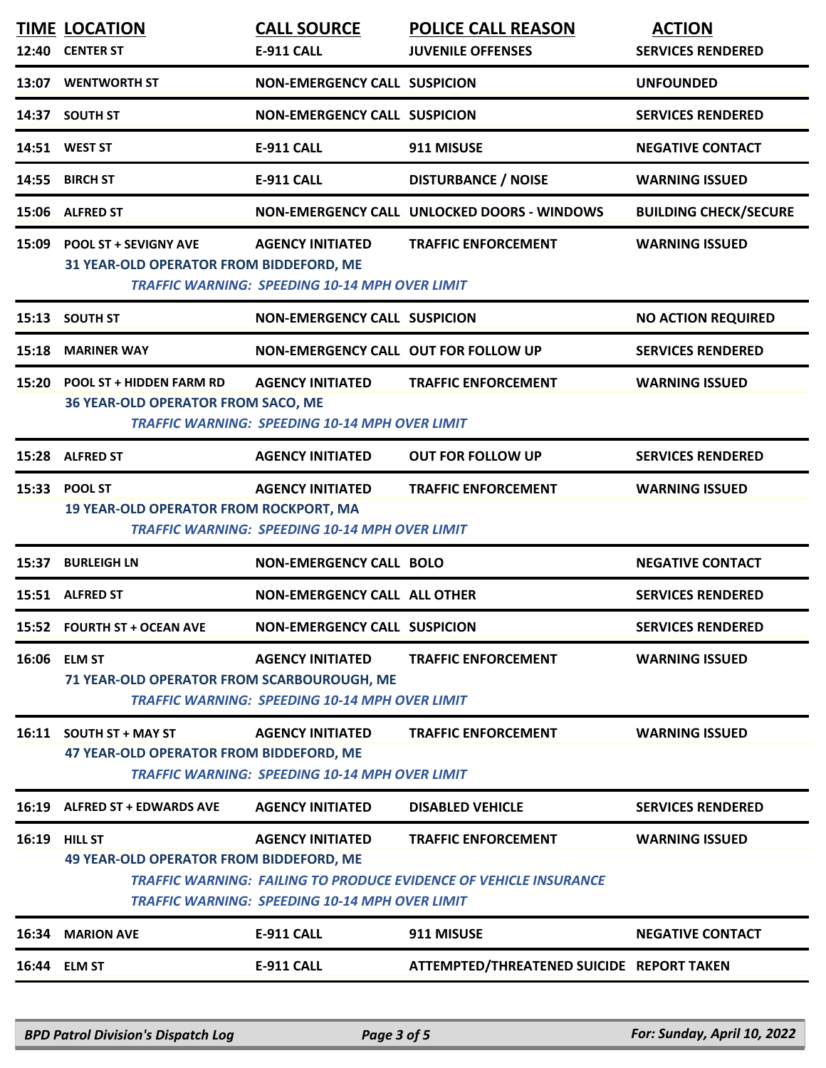| 16:44 | <b>ELM ST</b>                                                           | <b>E-911 CALL</b>                                                                | ATTEMPTED/THREATENED SUICIDE REPORT TAKEN                                |                                           |
|-------|-------------------------------------------------------------------------|----------------------------------------------------------------------------------|--------------------------------------------------------------------------|-------------------------------------------|
| 16:34 | <b>MARION AVE</b>                                                       | <b>E-911 CALL</b>                                                                | 911 MISUSE                                                               | <b>NEGATIVE CONTACT</b>                   |
|       | <b>49 YEAR-OLD OPERATOR FROM BIDDEFORD, ME</b>                          | <b>TRAFFIC WARNING: SPEEDING 10-14 MPH OVER LIMIT</b>                            | <b>TRAFFIC WARNING: FAILING TO PRODUCE EVIDENCE OF VEHICLE INSURANCE</b> |                                           |
| 16:19 | <b>HILL ST</b>                                                          | <b>AGENCY INITIATED</b>                                                          | <b>TRAFFIC ENFORCEMENT</b>                                               | <b>WARNING ISSUED</b>                     |
| 16:19 | <b>ALFRED ST + EDWARDS AVE</b>                                          | <b>AGENCY INITIATED</b>                                                          | <b>DISABLED VEHICLE</b>                                                  | <b>SERVICES RENDERED</b>                  |
|       | 16:11 SOUTH ST + MAY ST<br>47 YEAR-OLD OPERATOR FROM BIDDEFORD, ME      | <b>AGENCY INITIATED</b><br><b>TRAFFIC WARNING: SPEEDING 10-14 MPH OVER LIMIT</b> | <b>TRAFFIC ENFORCEMENT</b>                                               | <b>WARNING ISSUED</b>                     |
| 16:06 | <b>ELM ST</b><br>71 YEAR-OLD OPERATOR FROM SCARBOUROUGH, ME             | <b>AGENCY INITIATED</b><br><b>TRAFFIC WARNING: SPEEDING 10-14 MPH OVER LIMIT</b> | <b>TRAFFIC ENFORCEMENT</b>                                               | <b>WARNING ISSUED</b>                     |
|       | 15:52 FOURTH ST + OCEAN AVE                                             | <b>NON-EMERGENCY CALL SUSPICION</b>                                              |                                                                          | <b>SERVICES RENDERED</b>                  |
|       | 15:51 ALFRED ST                                                         | <b>NON-EMERGENCY CALL ALL OTHER</b>                                              |                                                                          | <b>SERVICES RENDERED</b>                  |
| 15:37 | <b>BURLEIGH LN</b>                                                      | <b>NON-EMERGENCY CALL BOLO</b>                                                   |                                                                          | <b>NEGATIVE CONTACT</b>                   |
| 15:33 | <b>POOL ST</b><br><b>19 YEAR-OLD OPERATOR FROM ROCKPORT, MA</b>         | <b>AGENCY INITIATED</b><br><b>TRAFFIC WARNING: SPEEDING 10-14 MPH OVER LIMIT</b> | <b>TRAFFIC ENFORCEMENT</b>                                               | <b>WARNING ISSUED</b>                     |
| 15:28 | <b>ALFRED ST</b>                                                        | <b>AGENCY INITIATED</b>                                                          | <b>OUT FOR FOLLOW UP</b>                                                 | <b>SERVICES RENDERED</b>                  |
| 15:20 | <b>POOL ST + HIDDEN FARM RD</b><br>36 YEAR-OLD OPERATOR FROM SACO, ME   | <b>AGENCY INITIATED</b><br><b>TRAFFIC WARNING: SPEEDING 10-14 MPH OVER LIMIT</b> | <b>TRAFFIC ENFORCEMENT</b>                                               | <b>WARNING ISSUED</b>                     |
| 15:18 | <b>MARINER WAY</b>                                                      | NON-EMERGENCY CALL OUT FOR FOLLOW UP                                             |                                                                          | <b>SERVICES RENDERED</b>                  |
| 15:13 | <b>SOUTH ST</b>                                                         | <b>NON-EMERGENCY CALL SUSPICION</b>                                              |                                                                          | <b>NO ACTION REQUIRED</b>                 |
| 15:09 | <b>POOL ST + SEVIGNY AVE</b><br>31 YEAR-OLD OPERATOR FROM BIDDEFORD, ME | <b>AGENCY INITIATED</b><br><b>TRAFFIC WARNING: SPEEDING 10-14 MPH OVER LIMIT</b> | <b>TRAFFIC ENFORCEMENT</b>                                               | <b>WARNING ISSUED</b>                     |
|       | 15:06 ALFRED ST                                                         |                                                                                  | NON-EMERGENCY CALL UNLOCKED DOORS - WINDOWS                              | <b>BUILDING CHECK/SECURE</b>              |
| 14:55 | <b>BIRCH ST</b>                                                         | <b>E-911 CALL</b>                                                                | <b>DISTURBANCE / NOISE</b>                                               | <b>WARNING ISSUED</b>                     |
|       | 14:51 WEST ST                                                           | <b>E-911 CALL</b>                                                                | 911 MISUSE                                                               | <b>NEGATIVE CONTACT</b>                   |
|       | 14:37 SOUTH ST                                                          | <b>NON-EMERGENCY CALL SUSPICION</b>                                              |                                                                          | <b>SERVICES RENDERED</b>                  |
| 13:07 | <b>WENTWORTH ST</b>                                                     | <b>NON-EMERGENCY CALL SUSPICION</b>                                              |                                                                          | <b>UNFOUNDED</b>                          |
|       | <b>TIME LOCATION</b><br>12:40 CENTER ST                                 | <b>CALL SOURCE</b><br>E-911 CALL                                                 | <b>POLICE CALL REASON</b><br><b>JUVENILE OFFENSES</b>                    | <b>ACTION</b><br><b>SERVICES RENDERED</b> |

*BPD Patrol Division's Dispatch Log Page 3 of 5 For: Sunday, April 10, 2022*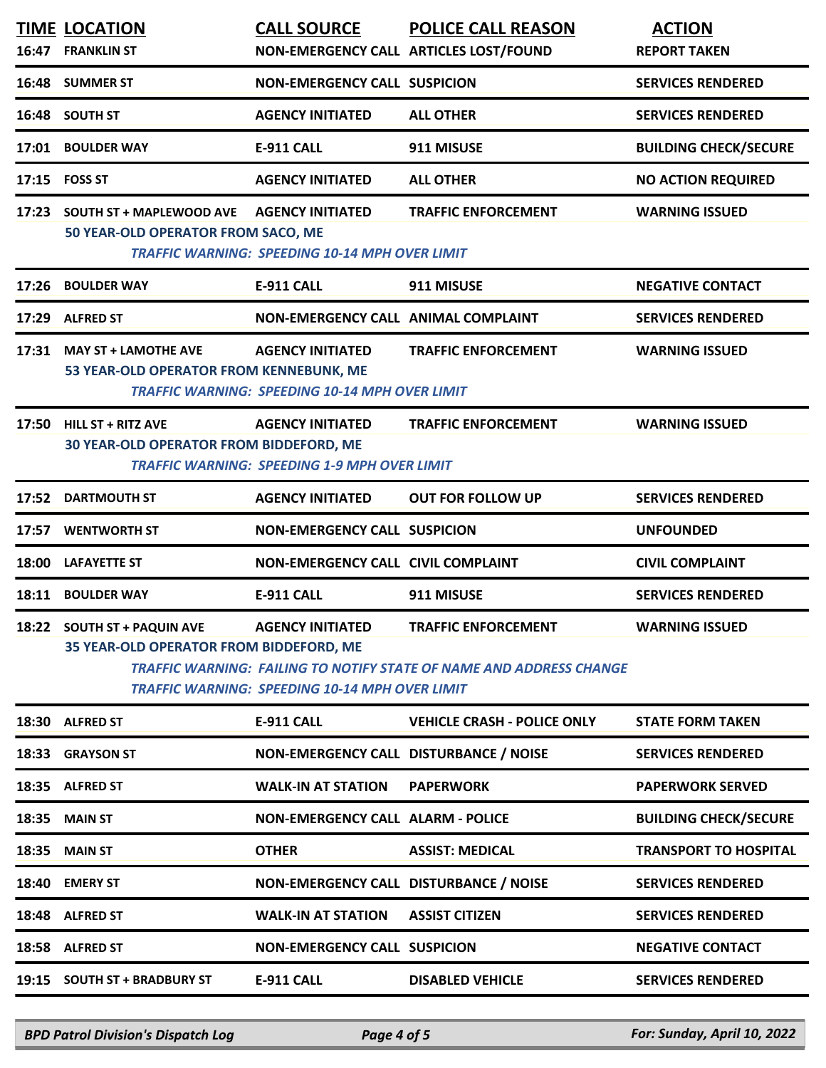| 16:47 | <b>TIME LOCATION</b><br><b>FRANKLIN ST</b>                             | <b>CALL SOURCE</b><br>NON-EMERGENCY CALL ARTICLES LOST/FOUND                     | <b>POLICE CALL REASON</b>                                                                         | <b>ACTION</b><br><b>REPORT TAKEN</b> |
|-------|------------------------------------------------------------------------|----------------------------------------------------------------------------------|---------------------------------------------------------------------------------------------------|--------------------------------------|
|       | 16:48 SUMMER ST                                                        | <b>NON-EMERGENCY CALL SUSPICION</b>                                              |                                                                                                   | <b>SERVICES RENDERED</b>             |
|       | 16:48 SOUTH ST                                                         | <b>AGENCY INITIATED</b>                                                          | <b>ALL OTHER</b>                                                                                  | <b>SERVICES RENDERED</b>             |
| 17:01 | <b>BOULDER WAY</b>                                                     | <b>E-911 CALL</b>                                                                | 911 MISUSE                                                                                        | <b>BUILDING CHECK/SECURE</b>         |
|       | 17:15 FOSS ST                                                          | <b>AGENCY INITIATED</b>                                                          | <b>ALL OTHER</b>                                                                                  | <b>NO ACTION REQUIRED</b>            |
| 17:23 | <b>SOUTH ST + MAPLEWOOD AVE</b><br>50 YEAR-OLD OPERATOR FROM SACO, ME  | <b>AGENCY INITIATED</b><br><b>TRAFFIC WARNING: SPEEDING 10-14 MPH OVER LIMIT</b> | <b>TRAFFIC ENFORCEMENT</b>                                                                        | <b>WARNING ISSUED</b>                |
| 17:26 | <b>BOULDER WAY</b>                                                     | E-911 CALL                                                                       | 911 MISUSE                                                                                        | <b>NEGATIVE CONTACT</b>              |
| 17:29 | <b>ALFRED ST</b>                                                       | NON-EMERGENCY CALL ANIMAL COMPLAINT                                              |                                                                                                   | <b>SERVICES RENDERED</b>             |
| 17:31 | <b>MAY ST + LAMOTHE AVE</b><br>53 YEAR-OLD OPERATOR FROM KENNEBUNK, ME | <b>AGENCY INITIATED</b><br><b>TRAFFIC WARNING: SPEEDING 10-14 MPH OVER LIMIT</b> | <b>TRAFFIC ENFORCEMENT</b>                                                                        | <b>WARNING ISSUED</b>                |
| 17:50 | <b>HILL ST + RITZ AVE</b><br>30 YEAR-OLD OPERATOR FROM BIDDEFORD, ME   | <b>AGENCY INITIATED</b><br><b>TRAFFIC WARNING: SPEEDING 1-9 MPH OVER LIMIT</b>   | <b>TRAFFIC ENFORCEMENT</b>                                                                        | <b>WARNING ISSUED</b>                |
| 17:52 | <b>DARTMOUTH ST</b>                                                    | <b>AGENCY INITIATED</b>                                                          | <b>OUT FOR FOLLOW UP</b>                                                                          | <b>SERVICES RENDERED</b>             |
| 17:57 | <b>WENTWORTH ST</b>                                                    | <b>NON-EMERGENCY CALL SUSPICION</b>                                              |                                                                                                   | <b>UNFOUNDED</b>                     |
|       |                                                                        |                                                                                  |                                                                                                   |                                      |
| 18:00 | <b>LAFAYETTE ST</b>                                                    | NON-EMERGENCY CALL CIVIL COMPLAINT                                               |                                                                                                   | <b>CIVIL COMPLAINT</b>               |
| 18:11 | <b>BOULDER WAY</b>                                                     | <b>E-911 CALL</b>                                                                | 911 MISUSE                                                                                        | <b>SERVICES RENDERED</b>             |
|       | 18:22 SOUTH ST + PAQUIN AVE<br>35 YEAR-OLD OPERATOR FROM BIDDEFORD, ME | <b>AGENCY INITIATED</b><br><b>TRAFFIC WARNING: SPEEDING 10-14 MPH OVER LIMIT</b> | <b>TRAFFIC ENFORCEMENT</b><br>TRAFFIC WARNING: FAILING TO NOTIFY STATE OF NAME AND ADDRESS CHANGE | <b>WARNING ISSUED</b>                |
|       | 18:30 ALFRED ST                                                        | E-911 CALL                                                                       | <b>VEHICLE CRASH - POLICE ONLY</b>                                                                | <b>STATE FORM TAKEN</b>              |
|       | 18:33 GRAYSON ST                                                       | NON-EMERGENCY CALL DISTURBANCE / NOISE                                           |                                                                                                   | <b>SERVICES RENDERED</b>             |
|       | 18:35 ALFRED ST                                                        | <b>WALK-IN AT STATION</b>                                                        | <b>PAPERWORK</b>                                                                                  | <b>PAPERWORK SERVED</b>              |
| 18:35 | <b>MAIN ST</b>                                                         | <b>NON-EMERGENCY CALL ALARM - POLICE</b>                                         |                                                                                                   | <b>BUILDING CHECK/SECURE</b>         |
| 18:35 | <b>MAIN ST</b>                                                         | <b>OTHER</b>                                                                     | <b>ASSIST: MEDICAL</b>                                                                            | <b>TRANSPORT TO HOSPITAL</b>         |
|       | 18:40 EMERY ST                                                         | NON-EMERGENCY CALL DISTURBANCE / NOISE                                           |                                                                                                   | <b>SERVICES RENDERED</b>             |
|       | 18:48 ALFRED ST                                                        | <b>WALK-IN AT STATION</b>                                                        | <b>ASSIST CITIZEN</b>                                                                             | <b>SERVICES RENDERED</b>             |
|       | 18:58 ALFRED ST                                                        | <b>NON-EMERGENCY CALL SUSPICION</b>                                              |                                                                                                   | <b>NEGATIVE CONTACT</b>              |